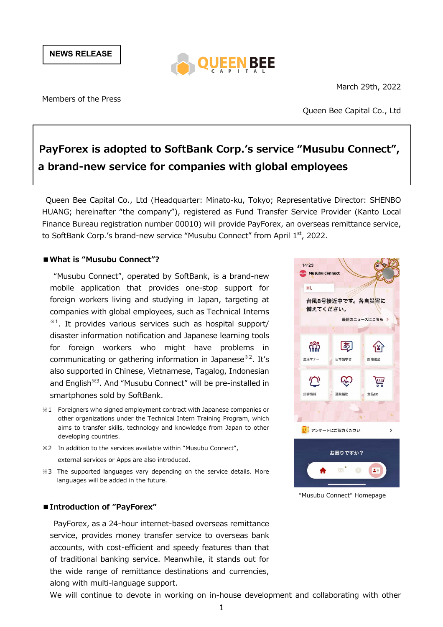

March 29th, 2022

Members of the Press

Queen Bee Capital Co., Ltd

# **PayForex is adopted to SoftBank Corp.'s service "Musubu Connect", a brand-new service for companies with global employees**

Queen Bee Capital Co., Ltd (Headquarter: Minato-ku, Tokyo; Representative Director: SHENBO HUANG; hereinafter "the company"), registered as Fund Transfer Service Provider (Kanto Local Finance Bureau registration number 00010) will provide PayForex, an overseas remittance service, to SoftBank Corp.'s brand-new service "Musubu Connect" from April 1st, 2022.

#### **■What is "Musubu Connect"?**

"Musubu Connect", operated by SoftBank, is a brand-new mobile application that provides one-stop support for foreign workers living and studying in Japan, targeting at companies with global employees, such as Technical Interns  $*1$ . It provides various services such as hospital support/ disaster information notification and Japanese learning tools for foreign workers who might have problems in communicating or gathering information in Japanese<sup>※2</sup>. It's also supported in Chinese, Vietnamese, Tagalog, Indonesian and English<sup>※3</sup>. And "Musubu Connect" will be pre-installed in smartphones sold by SoftBank.

- ※1 Foreigners who signed employment contract with Japanese companies or other organizations under the Technical Intern Training Program, which aims to transfer skills, technology and knowledge from Japan to other developing countries.
- ※2 In addition to the services available within "Musubu Connect", external services or Apps are also introduced.
- ※3 The supported languages vary depending on the service details. More languages will be added in the future.

### **■Introduction of "PayForex"**

PayForex, as a 24-hour internet-based overseas remittance service, provides money transfer service to overseas bank accounts, with cost-efficient and speedy features than that of traditional banking service. Meanwhile, it stands out for the wide range of remittance destinations and currencies, along with multi-language support.



"Musubu Connect" Homepage

We will continue to devote in working on in-house development and collaborating with other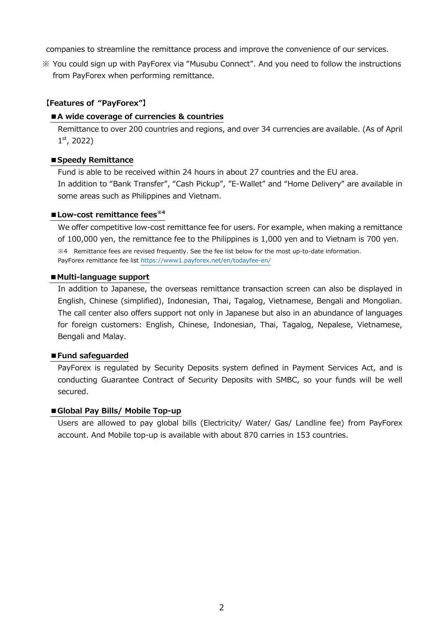companies to streamline the remittance process and improve the convenience of our services.

※ You could sign up with PayForex via "Musubu Connect". And you need to follow the instructions from PayForex when performing remittance.

## **【Features of "PayForex"】**

### **■A wide coverage of currencies & countries**

Remittance to over 200 countries and regions, and over 34 currencies are available. (As of April  $1<sup>st</sup>$ , 2022)

### **■Speedy Remittance**

Fund is able to be received within 24 hours in about 27 countries and the EU area. In addition to "Bank Transfer", "Cash Pickup", "E-Wallet" and "Home Delivery" are available in some areas such as Philippines and Vietnam.

### **■Low-cost remittance fees※4**

We offer competitive low-cost remittance fee for users. For example, when making a remittance of 100,000 yen, the remittance fee to the Philippines is 1,000 yen and to Vietnam is 700 yen.

※4 Remittance fees are revised frequently. See the fee list below for the most up-to-date information. PayForex remittance fee list https://www1.payforex.net/en/todayfee-en/

#### ■ Multi-language support

In addition to Japanese, the overseas remittance transaction screen can also be displayed in English, Chinese (simplified), Indonesian, Thai, Tagalog, Vietnamese, Bengali and Mongolian. The call center also offers support not only in Japanese but also in an abundance of languages for foreign customers: English, Chinese, Indonesian, Thai, Tagalog, Nepalese, Vietnamese, Bengali and Malay.

### **■Fund safeguarded**

PayForex is regulated by Security Deposits system defined in Payment Services Act, and is conducting Guarantee Contract of Security Deposits with SMBC, so your funds will be well secured.

### **■Global Pay Bills/ Mobile Top-up**

Users are allowed to pay global bills (Electricity/ Water/ Gas/ Landline fee) from PayForex account. And Mobile top-up is available with about 870 carries in 153 countries.